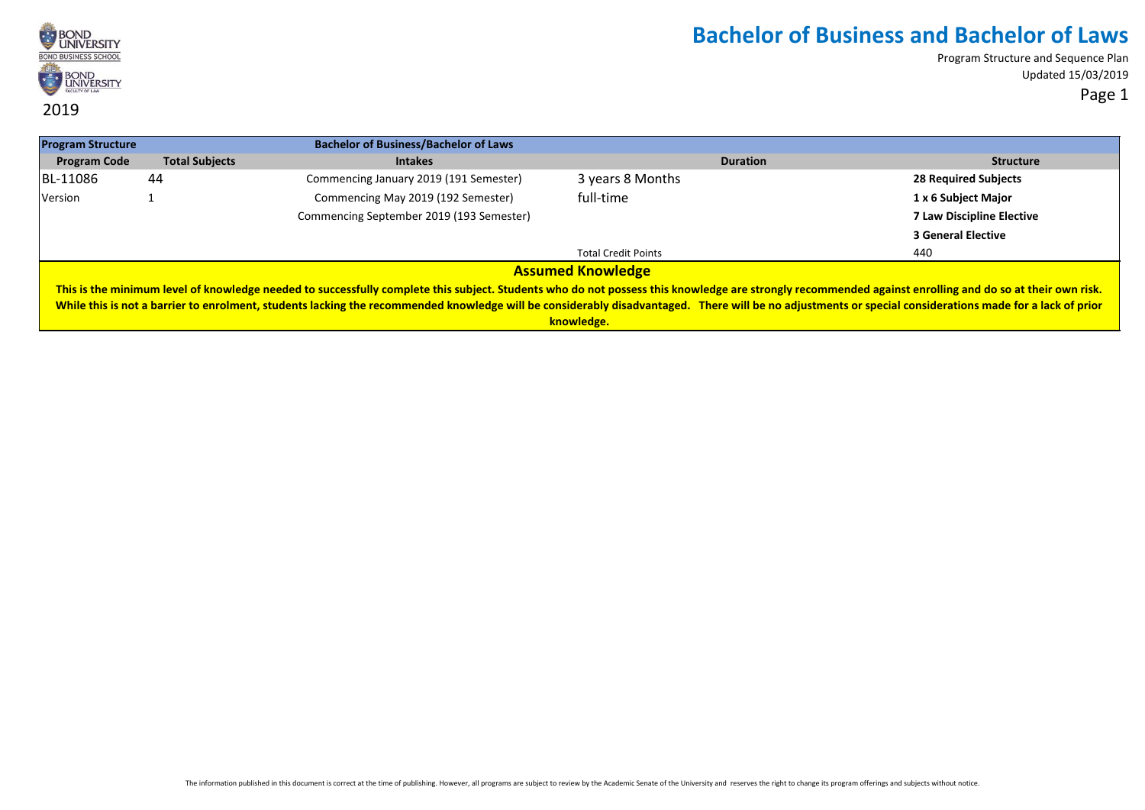

| <b>Program Structure</b> |                       | <b>Bachelor of Business/Bachelor of Laws</b>                                                                                                                                                             |                            |                 |                                  |
|--------------------------|-----------------------|----------------------------------------------------------------------------------------------------------------------------------------------------------------------------------------------------------|----------------------------|-----------------|----------------------------------|
| <b>Program Code</b>      | <b>Total Subjects</b> | <b>Intakes</b>                                                                                                                                                                                           |                            | <b>Duration</b> | <b>Structure</b>                 |
| BL-11086                 | 44                    | Commencing January 2019 (191 Semester)                                                                                                                                                                   | 3 years 8 Months           |                 | <b>28 Required Subjects</b>      |
| Version                  |                       | Commencing May 2019 (192 Semester)                                                                                                                                                                       | full-time                  |                 | 1 x 6 Subject Major              |
|                          |                       | Commencing September 2019 (193 Semester)                                                                                                                                                                 |                            |                 | <b>7 Law Discipline Elective</b> |
|                          |                       |                                                                                                                                                                                                          |                            |                 | <b>3 General Elective</b>        |
|                          |                       |                                                                                                                                                                                                          | <b>Total Credit Points</b> |                 | 440                              |
|                          |                       |                                                                                                                                                                                                          | <b>Assumed Knowledge</b>   |                 |                                  |
|                          |                       | This is the minimum level of knowledge needed to successfully complete this subject. Students who do not possess this knowledge are strongly recommended against enrolling and do so at their own risk.  |                            |                 |                                  |
|                          |                       | While this is not a barrier to enrolment, students lacking the recommended knowledge will be considerably disadvantaged. There will be no adjustments or special considerations made for a lack of prior |                            |                 |                                  |
|                          |                       |                                                                                                                                                                                                          | knowledge.                 |                 |                                  |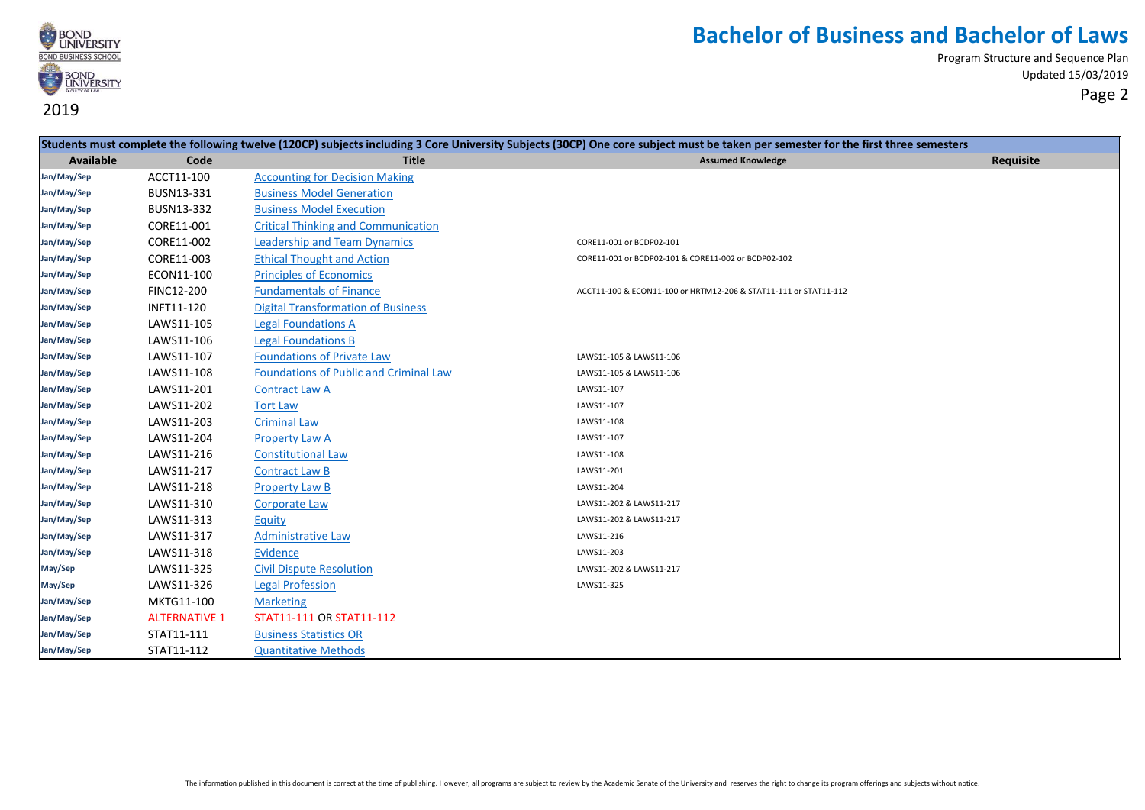

|             |                      |                                               | Students must complete the following twelve (120CP) subjects including 3 Core University Subjects (30CP) One core subject must be taken per semester for the first three semesters |           |
|-------------|----------------------|-----------------------------------------------|------------------------------------------------------------------------------------------------------------------------------------------------------------------------------------|-----------|
| Available   | Code                 | <b>Title</b>                                  | <b>Assumed Knowledge</b>                                                                                                                                                           | Requisite |
| Jan/May/Sep | ACCT11-100           | <b>Accounting for Decision Making</b>         |                                                                                                                                                                                    |           |
| Jan/May/Sep | BUSN13-331           | <b>Business Model Generation</b>              |                                                                                                                                                                                    |           |
| Jan/May/Sep | BUSN13-332           | <b>Business Model Execution</b>               |                                                                                                                                                                                    |           |
| Jan/May/Sep | CORE11-001           | <b>Critical Thinking and Communication</b>    |                                                                                                                                                                                    |           |
| Jan/May/Sep | CORE11-002           | <b>Leadership and Team Dynamics</b>           | CORE11-001 or BCDP02-101                                                                                                                                                           |           |
| Jan/May/Sep | CORE11-003           | <b>Ethical Thought and Action</b>             | CORE11-001 or BCDP02-101 & CORE11-002 or BCDP02-102                                                                                                                                |           |
| Jan/May/Sep | ECON11-100           | <b>Principles of Economics</b>                |                                                                                                                                                                                    |           |
| Jan/May/Sep | <b>FINC12-200</b>    | <b>Fundamentals of Finance</b>                | ACCT11-100 & ECON11-100 or HRTM12-206 & STAT11-111 or STAT11-112                                                                                                                   |           |
| Jan/May/Sep | INFT11-120           | <b>Digital Transformation of Business</b>     |                                                                                                                                                                                    |           |
| Jan/May/Sep | LAWS11-105           | <b>Legal Foundations A</b>                    |                                                                                                                                                                                    |           |
| Jan/May/Sep | LAWS11-106           | <b>Legal Foundations B</b>                    |                                                                                                                                                                                    |           |
| Jan/May/Sep | LAWS11-107           | <b>Foundations of Private Law</b>             | LAWS11-105 & LAWS11-106                                                                                                                                                            |           |
| Jan/May/Sep | LAWS11-108           | <b>Foundations of Public and Criminal Law</b> | LAWS11-105 & LAWS11-106                                                                                                                                                            |           |
| Jan/May/Sep | LAWS11-201           | <b>Contract Law A</b>                         | LAWS11-107                                                                                                                                                                         |           |
| Jan/May/Sep | LAWS11-202           | <b>Tort Law</b>                               | LAWS11-107                                                                                                                                                                         |           |
| Jan/May/Sep | LAWS11-203           | <b>Criminal Law</b>                           | LAWS11-108                                                                                                                                                                         |           |
| Jan/May/Sep | LAWS11-204           | <b>Property Law A</b>                         | LAWS11-107                                                                                                                                                                         |           |
| Jan/May/Sep | LAWS11-216           | <b>Constitutional Law</b>                     | LAWS11-108                                                                                                                                                                         |           |
| Jan/May/Sep | LAWS11-217           | <b>Contract Law B</b>                         | LAWS11-201                                                                                                                                                                         |           |
| Jan/May/Sep | LAWS11-218           | <b>Property Law B</b>                         | LAWS11-204                                                                                                                                                                         |           |
| Jan/May/Sep | LAWS11-310           | <b>Corporate Law</b>                          | LAWS11-202 & LAWS11-217                                                                                                                                                            |           |
| Jan/May/Sep | LAWS11-313           | Equity                                        | LAWS11-202 & LAWS11-217                                                                                                                                                            |           |
| Jan/May/Sep | LAWS11-317           | <b>Administrative Law</b>                     | LAWS11-216                                                                                                                                                                         |           |
| Jan/May/Sep | LAWS11-318           | <b>Evidence</b>                               | LAWS11-203                                                                                                                                                                         |           |
| May/Sep     | LAWS11-325           | <b>Civil Dispute Resolution</b>               | LAWS11-202 & LAWS11-217                                                                                                                                                            |           |
| May/Sep     | LAWS11-326           | <b>Legal Profession</b>                       | LAWS11-325                                                                                                                                                                         |           |
| Jan/May/Sep | MKTG11-100           | <b>Marketing</b>                              |                                                                                                                                                                                    |           |
| Jan/May/Sep | <b>ALTERNATIVE 1</b> | STAT11-111 OR STAT11-112                      |                                                                                                                                                                                    |           |
| Jan/May/Sep | STAT11-111           | <b>Business Statistics OR</b>                 |                                                                                                                                                                                    |           |
| Jan/May/Sep | STAT11-112           | <b>Quantitative Methods</b>                   |                                                                                                                                                                                    |           |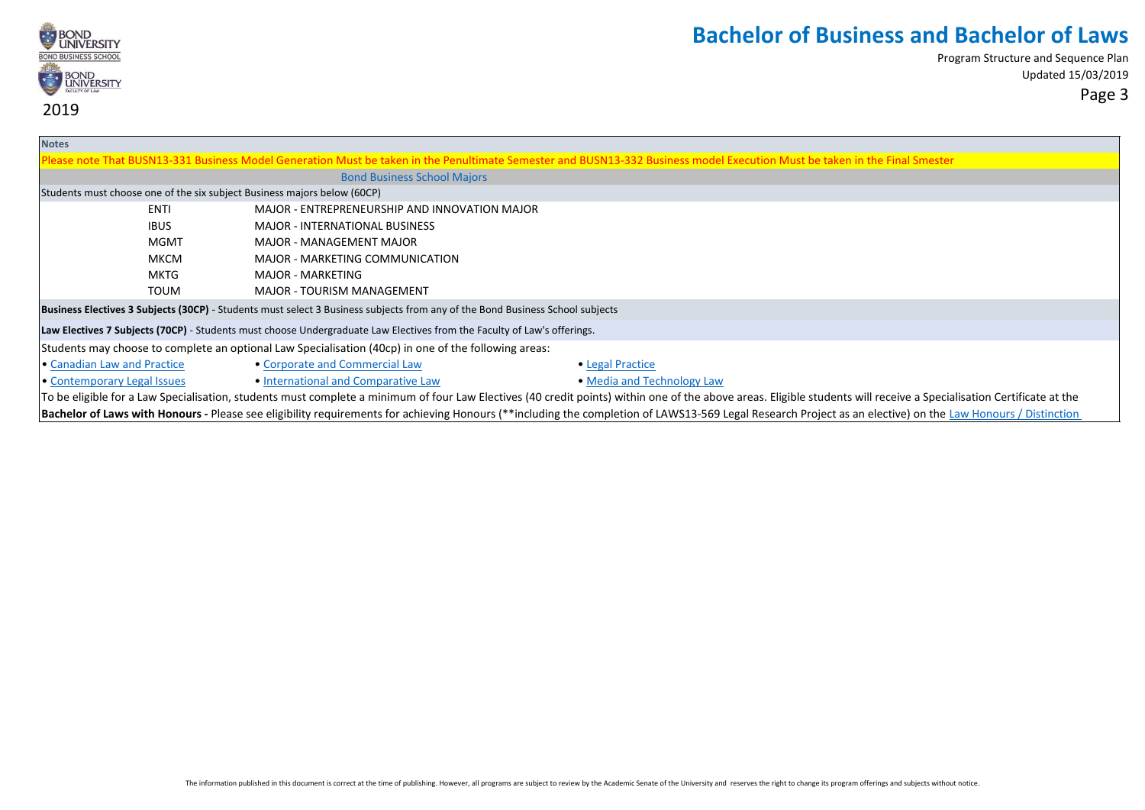

| <b>Notes</b>                                                                                                                                                                                                         |                                                                                                                         |                                                                                                                               |                                                                                                                                                                                                             |  |  |
|----------------------------------------------------------------------------------------------------------------------------------------------------------------------------------------------------------------------|-------------------------------------------------------------------------------------------------------------------------|-------------------------------------------------------------------------------------------------------------------------------|-------------------------------------------------------------------------------------------------------------------------------------------------------------------------------------------------------------|--|--|
|                                                                                                                                                                                                                      |                                                                                                                         |                                                                                                                               | Please note That BUSN13-331 Business Model Generation Must be taken in the Penultimate Semester and BUSN13-332 Business model Execution Must be taken in the Final Smester                                  |  |  |
|                                                                                                                                                                                                                      |                                                                                                                         | <b>Bond Business School Majors</b>                                                                                            |                                                                                                                                                                                                             |  |  |
|                                                                                                                                                                                                                      |                                                                                                                         | Students must choose one of the six subject Business majors below (60CP)                                                      |                                                                                                                                                                                                             |  |  |
|                                                                                                                                                                                                                      | <b>ENTI</b>                                                                                                             | MAJOR - ENTREPRENEURSHIP AND INNOVATION MAJOR                                                                                 |                                                                                                                                                                                                             |  |  |
|                                                                                                                                                                                                                      | <b>IBUS</b>                                                                                                             | <b>MAJOR - INTERNATIONAL BUSINESS</b>                                                                                         |                                                                                                                                                                                                             |  |  |
|                                                                                                                                                                                                                      | MGMT                                                                                                                    | MAJOR - MANAGEMENT MAJOR                                                                                                      |                                                                                                                                                                                                             |  |  |
|                                                                                                                                                                                                                      | МКСМ                                                                                                                    | MAJOR - MARKETING COMMUNICATION                                                                                               |                                                                                                                                                                                                             |  |  |
|                                                                                                                                                                                                                      | MKTG                                                                                                                    | <b>MAJOR - MARKETING</b>                                                                                                      |                                                                                                                                                                                                             |  |  |
|                                                                                                                                                                                                                      | <b>TOUM</b>                                                                                                             | <b>MAJOR - TOURISM MANAGEMENT</b>                                                                                             |                                                                                                                                                                                                             |  |  |
|                                                                                                                                                                                                                      |                                                                                                                         | Business Electives 3 Subjects (30CP) - Students must select 3 Business subjects from any of the Bond Business School subjects |                                                                                                                                                                                                             |  |  |
|                                                                                                                                                                                                                      | Law Electives 7 Subjects (70CP) - Students must choose Undergraduate Law Electives from the Faculty of Law's offerings. |                                                                                                                               |                                                                                                                                                                                                             |  |  |
| Students may choose to complete an optional Law Specialisation (40cp) in one of the following areas:                                                                                                                 |                                                                                                                         |                                                                                                                               |                                                                                                                                                                                                             |  |  |
| • Canadian Law and Practice                                                                                                                                                                                          |                                                                                                                         | • Corporate and Commercial Law                                                                                                | • Legal Practice                                                                                                                                                                                            |  |  |
| • Contemporary Legal Issues                                                                                                                                                                                          |                                                                                                                         | • International and Comparative Law                                                                                           | • Media and Technology Law                                                                                                                                                                                  |  |  |
| To be eligible for a Law Specialisation, students must complete a minimum of four Law Electives (40 credit points) within one of the above areas. Eligible students will receive a Specialisation Certificate at the |                                                                                                                         |                                                                                                                               |                                                                                                                                                                                                             |  |  |
|                                                                                                                                                                                                                      |                                                                                                                         |                                                                                                                               | Bachelor of Laws with Honours - Please see eligibility requirements for achieving Honours (**including the completion of LAWS13-569 Legal Research Project as an elective) on the Law Honours / Distinction |  |  |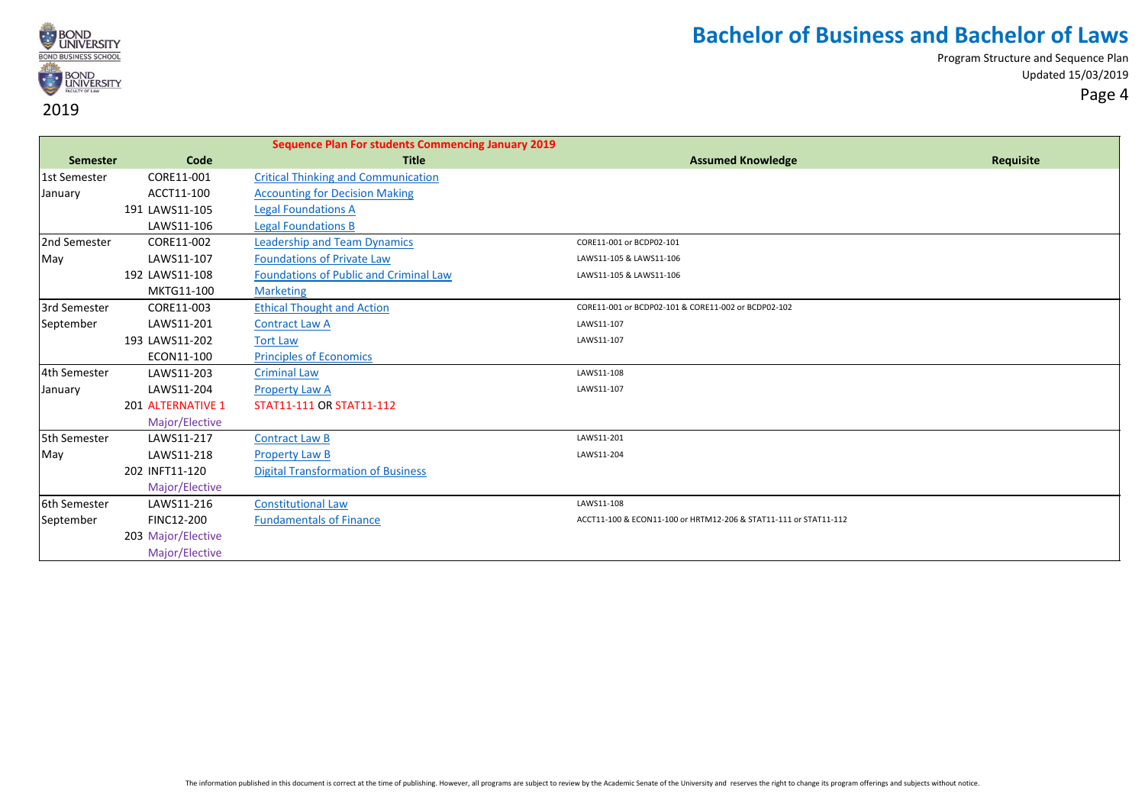

|                 |                    | <b>Sequence Plan For students Commencing January 2019</b> |                                                                  |           |
|-----------------|--------------------|-----------------------------------------------------------|------------------------------------------------------------------|-----------|
| <b>Semester</b> | Code               | <b>Title</b>                                              | <b>Assumed Knowledge</b>                                         | Requisite |
| 1st Semester    | CORE11-001         | <b>Critical Thinking and Communication</b>                |                                                                  |           |
| January         | ACCT11-100         | <b>Accounting for Decision Making</b>                     |                                                                  |           |
|                 | 191 LAWS11-105     | <b>Legal Foundations A</b>                                |                                                                  |           |
|                 | LAWS11-106         | <b>Legal Foundations B</b>                                |                                                                  |           |
| 2nd Semester    | CORE11-002         | <b>Leadership and Team Dynamics</b>                       | CORE11-001 or BCDP02-101                                         |           |
| May             | LAWS11-107         | <b>Foundations of Private Law</b>                         | LAWS11-105 & LAWS11-106                                          |           |
|                 | 192 LAWS11-108     | <b>Foundations of Public and Criminal Law</b>             | LAWS11-105 & LAWS11-106                                          |           |
|                 | MKTG11-100         | <b>Marketing</b>                                          |                                                                  |           |
| 3rd Semester    | CORE11-003         | <b>Ethical Thought and Action</b>                         | CORE11-001 or BCDP02-101 & CORE11-002 or BCDP02-102              |           |
| September       | LAWS11-201         | <b>Contract Law A</b>                                     | LAWS11-107                                                       |           |
|                 | 193 LAWS11-202     | <b>Tort Law</b>                                           | LAWS11-107                                                       |           |
|                 | ECON11-100         | <b>Principles of Economics</b>                            |                                                                  |           |
| 4th Semester    | LAWS11-203         | <b>Criminal Law</b>                                       | LAWS11-108                                                       |           |
| January         | LAWS11-204         | <b>Property Law A</b>                                     | LAWS11-107                                                       |           |
|                 | 201 ALTERNATIVE 1  | STAT11-111 OR STAT11-112                                  |                                                                  |           |
|                 | Major/Elective     |                                                           |                                                                  |           |
| 5th Semester    | LAWS11-217         | <b>Contract Law B</b>                                     | LAWS11-201                                                       |           |
| May             | LAWS11-218         | <b>Property Law B</b>                                     | LAWS11-204                                                       |           |
|                 | 202 INFT11-120     | <b>Digital Transformation of Business</b>                 |                                                                  |           |
|                 | Major/Elective     |                                                           |                                                                  |           |
| 6th Semester    | LAWS11-216         | <b>Constitutional Law</b>                                 | LAWS11-108                                                       |           |
| September       | FINC12-200         | <b>Fundamentals of Finance</b>                            | ACCT11-100 & ECON11-100 or HRTM12-206 & STAT11-111 or STAT11-112 |           |
|                 | 203 Major/Elective |                                                           |                                                                  |           |
|                 | Major/Elective     |                                                           |                                                                  |           |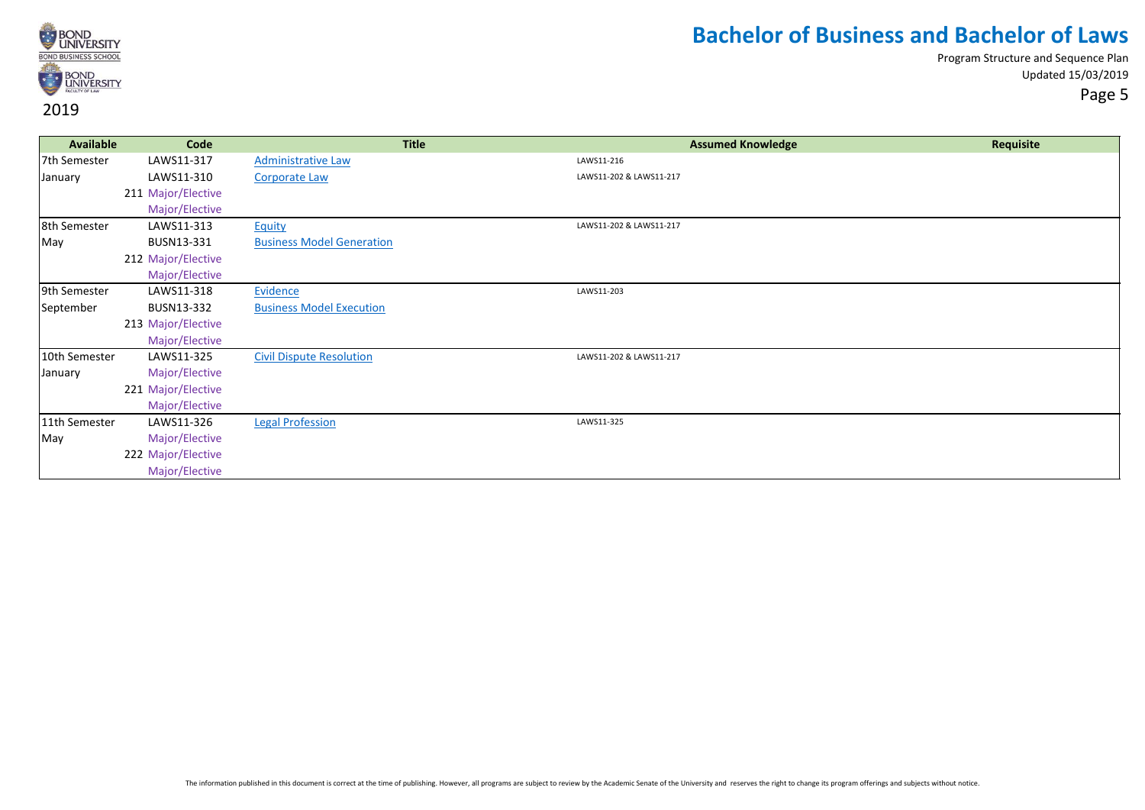

Program Structure and Sequence Plan Updated 15/03/2019 Page 5

**Available Code Title Assumed Knowledge Requisite** 7th Semester LAWS11-317 [Administrative Law](https://bond.edu.au/subject/laws11-318-evidence) Laws Administrative Law LAWS11-216 January LAWS11-310 [Corporate Law](https://bond.edu.au/subject/laws11-310-corporate-law) LAWS11-202 & LAWS11-217 211 Major/Elective Major/Elective 8th Semester LAWS11-313 [Equity](https://bond.edu.au/subject/laws11-313-equity) LAWS11-202 & LAWS11-217 May BUSN13-331 [Business Model Generation](https://bond.edu.au/subject/busn13-331-business-model-generation) 212 Major/Elective Major/Elective 9th Semester LAWS11-318 <u>[Evidence](https://bond.edu.au/subject/laws11-320-legal-ethics-and-professional-conduct)</u> LAws11-203 September BUSN13-332 [Business Model Execution](https://bond.edu.au/subject/busn13-332-business-model-execution) 213 Major/Elective Major/Elective 10th Semester LAWS11-325 [Civil Dispute Resolution](https://bond.edu.au/subject/laws11-325-civil-dispute-resolution) LAWS11-202 & LAWS11-217 January Major/Elective 221 Major/Elective Major/Elective 11th Semester LAWS11-326 [Legal Profession](https://bond.edu.au/subject/laws11-326-legal-profession) LAWS11-325 May Major/Elective 222 Major/Elective Major/Elective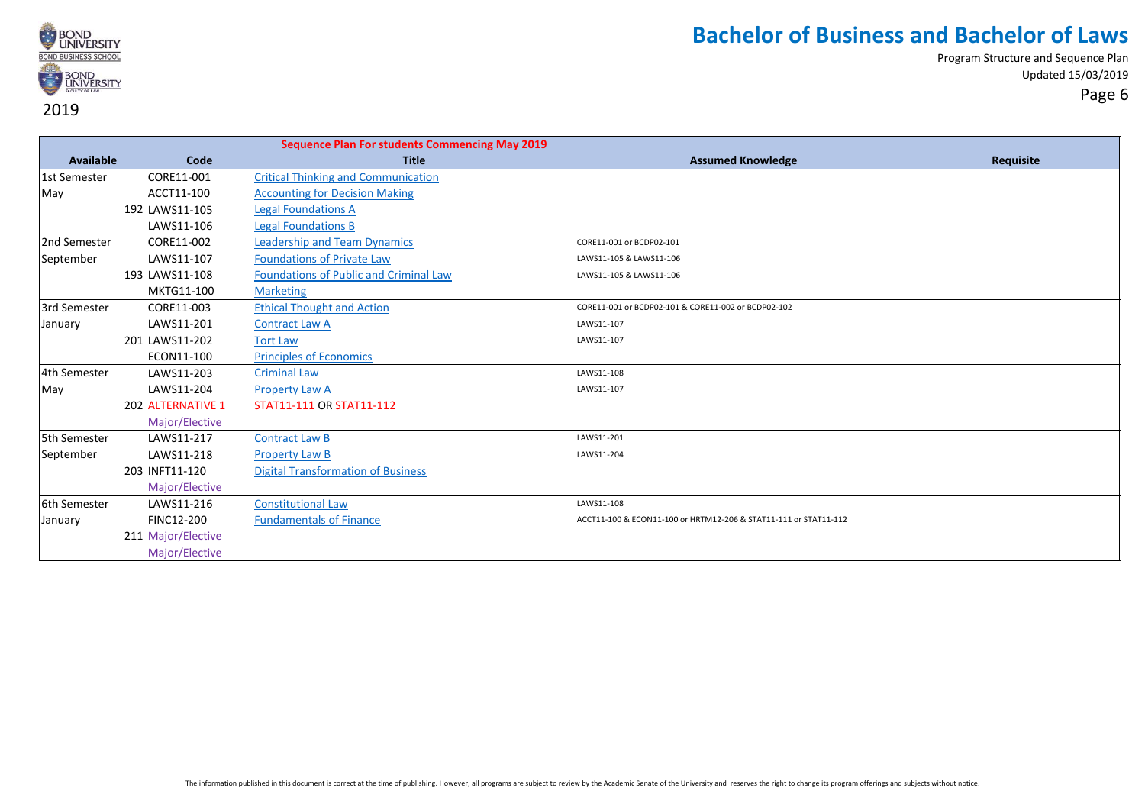

|              |                    | <b>Sequence Plan For students Commencing May 2019</b> |                                                                  |           |
|--------------|--------------------|-------------------------------------------------------|------------------------------------------------------------------|-----------|
| Available    | Code               | <b>Title</b>                                          | <b>Assumed Knowledge</b>                                         | Requisite |
| 1st Semester | CORE11-001         | <b>Critical Thinking and Communication</b>            |                                                                  |           |
| May          | ACCT11-100         | <b>Accounting for Decision Making</b>                 |                                                                  |           |
|              | 192 LAWS11-105     | <b>Legal Foundations A</b>                            |                                                                  |           |
|              | LAWS11-106         | <b>Legal Foundations B</b>                            |                                                                  |           |
| 2nd Semester | CORE11-002         | <b>Leadership and Team Dynamics</b>                   | CORE11-001 or BCDP02-101                                         |           |
| September    | LAWS11-107         | <b>Foundations of Private Law</b>                     | LAWS11-105 & LAWS11-106                                          |           |
|              | 193 LAWS11-108     | <b>Foundations of Public and Criminal Law</b>         | LAWS11-105 & LAWS11-106                                          |           |
|              | MKTG11-100         | <b>Marketing</b>                                      |                                                                  |           |
| 3rd Semester | CORE11-003         | <b>Ethical Thought and Action</b>                     | CORE11-001 or BCDP02-101 & CORE11-002 or BCDP02-102              |           |
| January      | LAWS11-201         | <b>Contract Law A</b>                                 | LAWS11-107                                                       |           |
|              | 201 LAWS11-202     | <b>Tort Law</b>                                       | LAWS11-107                                                       |           |
|              | ECON11-100         | <b>Principles of Economics</b>                        |                                                                  |           |
| 4th Semester | LAWS11-203         | <b>Criminal Law</b>                                   | LAWS11-108                                                       |           |
| May          | LAWS11-204         | Property Law A                                        | LAWS11-107                                                       |           |
|              | 202 ALTERNATIVE 1  | STAT11-111 OR STAT11-112                              |                                                                  |           |
|              | Major/Elective     |                                                       |                                                                  |           |
| 5th Semester | LAWS11-217         | <b>Contract Law B</b>                                 | LAWS11-201                                                       |           |
| September    | LAWS11-218         | <b>Property Law B</b>                                 | LAWS11-204                                                       |           |
|              | 203 INFT11-120     | <b>Digital Transformation of Business</b>             |                                                                  |           |
|              | Major/Elective     |                                                       |                                                                  |           |
| 6th Semester | LAWS11-216         | <b>Constitutional Law</b>                             | LAWS11-108                                                       |           |
| January      | FINC12-200         | <b>Fundamentals of Finance</b>                        | ACCT11-100 & ECON11-100 or HRTM12-206 & STAT11-111 or STAT11-112 |           |
|              | 211 Major/Elective |                                                       |                                                                  |           |
|              | Major/Elective     |                                                       |                                                                  |           |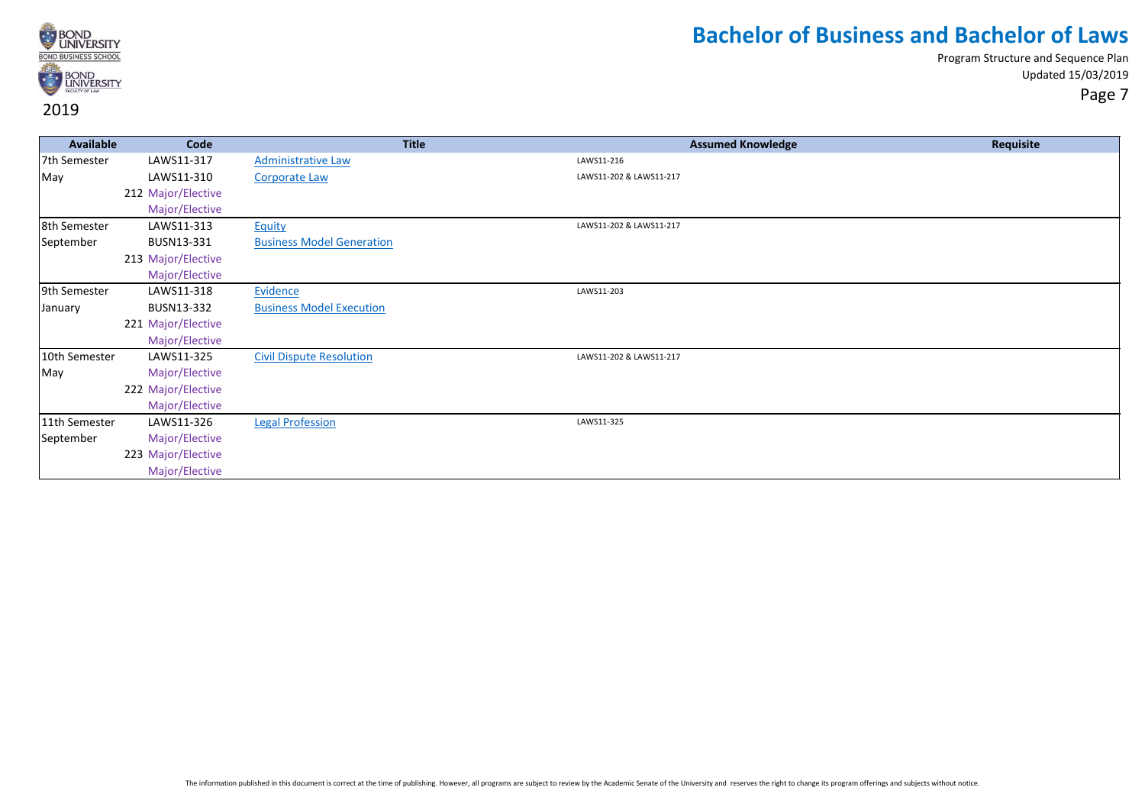

| <b>Available</b> | Code               | <b>Title</b>                     | <b>Assumed Knowledge</b> | Requisite |
|------------------|--------------------|----------------------------------|--------------------------|-----------|
| 7th Semester     | LAWS11-317         | <b>Administrative Law</b>        | LAWS11-216               |           |
| May              | LAWS11-310         | <b>Corporate Law</b>             | LAWS11-202 & LAWS11-217  |           |
|                  | 212 Major/Elective |                                  |                          |           |
|                  | Major/Elective     |                                  |                          |           |
| 8th Semester     | LAWS11-313         | Equity                           | LAWS11-202 & LAWS11-217  |           |
| September        | BUSN13-331         | <b>Business Model Generation</b> |                          |           |
|                  | 213 Major/Elective |                                  |                          |           |
|                  | Major/Elective     |                                  |                          |           |
| 9th Semester     | LAWS11-318         | Evidence                         | LAWS11-203               |           |
| January          | BUSN13-332         | <b>Business Model Execution</b>  |                          |           |
|                  | 221 Major/Elective |                                  |                          |           |
|                  | Major/Elective     |                                  |                          |           |
| 10th Semester    | LAWS11-325         | <b>Civil Dispute Resolution</b>  | LAWS11-202 & LAWS11-217  |           |
| May              | Major/Elective     |                                  |                          |           |
|                  | 222 Major/Elective |                                  |                          |           |
|                  | Major/Elective     |                                  |                          |           |
| 11th Semester    | LAWS11-326         | <b>Legal Profession</b>          | LAWS11-325               |           |
| September        | Major/Elective     |                                  |                          |           |
|                  | 223 Major/Elective |                                  |                          |           |
|                  | Major/Elective     |                                  |                          |           |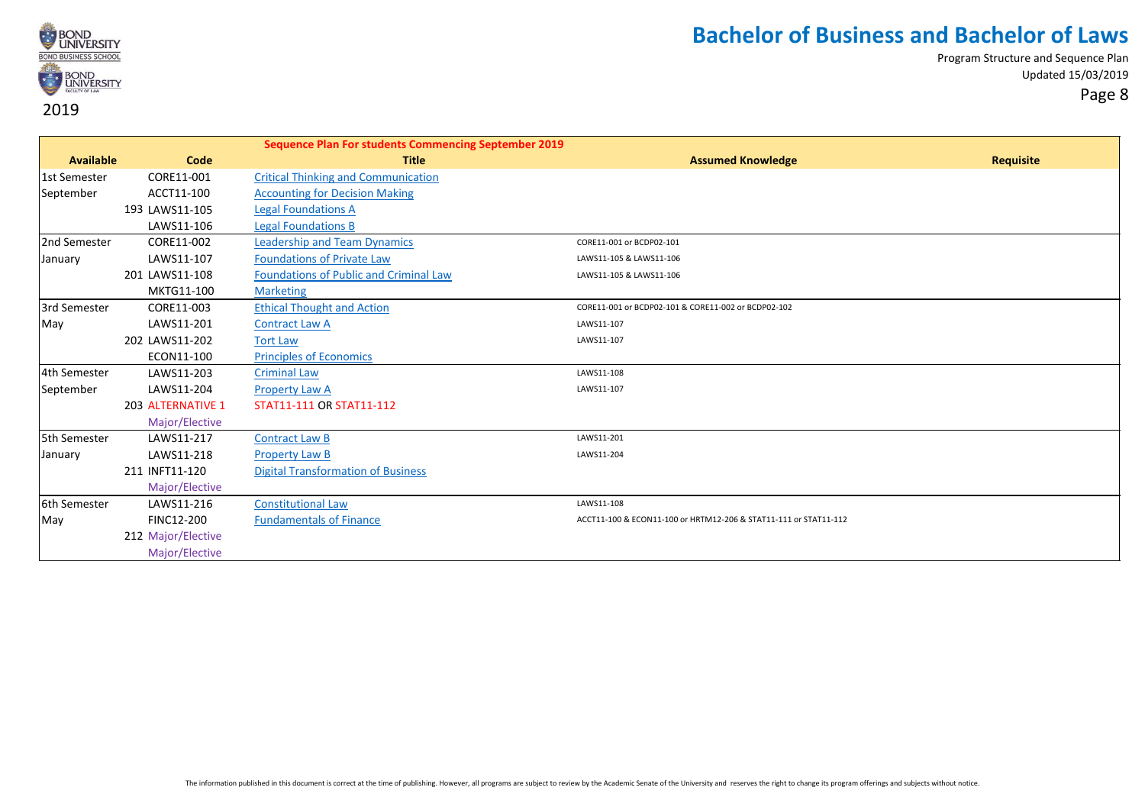

|                  |                    | <b>Sequence Plan For students Commencing September 2019</b> |                                                                  |           |
|------------------|--------------------|-------------------------------------------------------------|------------------------------------------------------------------|-----------|
| <b>Available</b> | Code               | <b>Title</b>                                                | <b>Assumed Knowledge</b>                                         | Requisite |
| 1st Semester     | CORE11-001         | <b>Critical Thinking and Communication</b>                  |                                                                  |           |
| September        | ACCT11-100         | <b>Accounting for Decision Making</b>                       |                                                                  |           |
|                  | 193 LAWS11-105     | <b>Legal Foundations A</b>                                  |                                                                  |           |
|                  | LAWS11-106         | <b>Legal Foundations B</b>                                  |                                                                  |           |
| 2nd Semester     | CORE11-002         | <b>Leadership and Team Dynamics</b>                         | CORE11-001 or BCDP02-101                                         |           |
| January          | LAWS11-107         | <b>Foundations of Private Law</b>                           | LAWS11-105 & LAWS11-106                                          |           |
|                  | 201 LAWS11-108     | <b>Foundations of Public and Criminal Law</b>               | LAWS11-105 & LAWS11-106                                          |           |
|                  | MKTG11-100         | <b>Marketing</b>                                            |                                                                  |           |
| 3rd Semester     | CORE11-003         | <b>Ethical Thought and Action</b>                           | CORE11-001 or BCDP02-101 & CORE11-002 or BCDP02-102              |           |
| May              | LAWS11-201         | <b>Contract Law A</b>                                       | LAWS11-107                                                       |           |
|                  | 202 LAWS11-202     | <b>Tort Law</b>                                             | LAWS11-107                                                       |           |
|                  | ECON11-100         | <b>Principles of Economics</b>                              |                                                                  |           |
| 4th Semester     | LAWS11-203         | <b>Criminal Law</b>                                         | LAWS11-108                                                       |           |
| September        | LAWS11-204         | <b>Property Law A</b>                                       | LAWS11-107                                                       |           |
|                  | 203 ALTERNATIVE 1  | STAT11-111 OR STAT11-112                                    |                                                                  |           |
|                  | Major/Elective     |                                                             |                                                                  |           |
| 5th Semester     | LAWS11-217         | <b>Contract Law B</b>                                       | LAWS11-201                                                       |           |
| January          | LAWS11-218         | <b>Property Law B</b>                                       | LAWS11-204                                                       |           |
|                  | 211 INFT11-120     | <b>Digital Transformation of Business</b>                   |                                                                  |           |
|                  | Major/Elective     |                                                             |                                                                  |           |
| 6th Semester     | LAWS11-216         | <b>Constitutional Law</b>                                   | LAWS11-108                                                       |           |
| May              | <b>FINC12-200</b>  | <b>Fundamentals of Finance</b>                              | ACCT11-100 & ECON11-100 or HRTM12-206 & STAT11-111 or STAT11-112 |           |
|                  | 212 Major/Elective |                                                             |                                                                  |           |
|                  | Major/Elective     |                                                             |                                                                  |           |